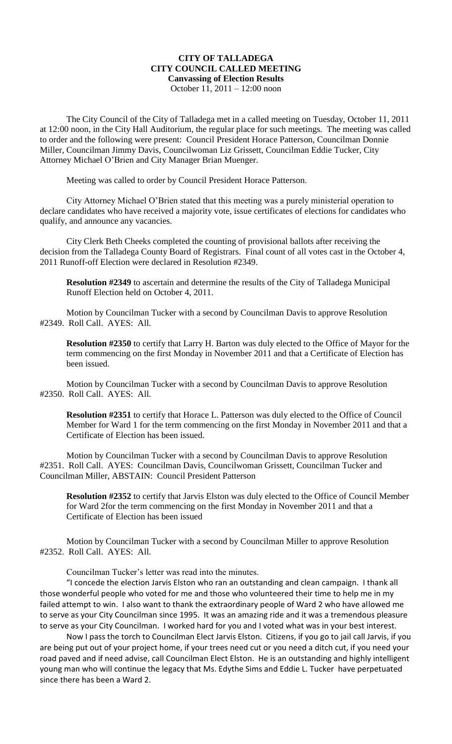## **CITY OF TALLADEGA CITY COUNCIL CALLED MEETING Canvassing of Election Results** October 11, 2011 – 12:00 noon

The City Council of the City of Talladega met in a called meeting on Tuesday, October 11, 2011 at 12:00 noon, in the City Hall Auditorium, the regular place for such meetings. The meeting was called to order and the following were present: Council President Horace Patterson, Councilman Donnie Miller, Councilman Jimmy Davis, Councilwoman Liz Grissett, Councilman Eddie Tucker, City Attorney Michael O'Brien and City Manager Brian Muenger.

Meeting was called to order by Council President Horace Patterson.

City Attorney Michael O'Brien stated that this meeting was a purely ministerial operation to declare candidates who have received a majority vote, issue certificates of elections for candidates who qualify, and announce any vacancies.

City Clerk Beth Cheeks completed the counting of provisional ballots after receiving the decision from the Talladega County Board of Registrars. Final count of all votes cast in the October 4, 2011 Runoff-off Election were declared in Resolution #2349.

**Resolution #2349** to ascertain and determine the results of the City of Talladega Municipal Runoff Election held on October 4, 2011.

Motion by Councilman Tucker with a second by Councilman Davis to approve Resolution #2349. Roll Call. AYES: All.

**Resolution #2350** to certify that Larry H. Barton was duly elected to the Office of Mayor for the term commencing on the first Monday in November 2011 and that a Certificate of Election has been issued.

Motion by Councilman Tucker with a second by Councilman Davis to approve Resolution #2350. Roll Call. AYES: All.

**Resolution #2351** to certify that Horace L. Patterson was duly elected to the Office of Council Member for Ward 1 for the term commencing on the first Monday in November 2011 and that a Certificate of Election has been issued.

Motion by Councilman Tucker with a second by Councilman Davis to approve Resolution #2351. Roll Call. AYES: Councilman Davis, Councilwoman Grissett, Councilman Tucker and Councilman Miller, ABSTAIN: Council President Patterson

**Resolution #2352** to certify that Jarvis Elston was duly elected to the Office of Council Member for Ward 2for the term commencing on the first Monday in November 2011 and that a Certificate of Election has been issued

Motion by Councilman Tucker with a second by Councilman Miller to approve Resolution #2352. Roll Call. AYES: All.

Councilman Tucker's letter was read into the minutes.

"I concede the election Jarvis Elston who ran an outstanding and clean campaign. I thank all those wonderful people who voted for me and those who volunteered their time to help me in my failed attempt to win. I also want to thank the extraordinary people of Ward 2 who have allowed me to serve as your City Councilman since 1995. It was an amazing ride and it was a tremendous pleasure to serve as your City Councilman. I worked hard for you and I voted what was in your best interest.

Now I pass the torch to Councilman Elect Jarvis Elston. Citizens, if you go to jail call Jarvis, if you are being put out of your project home, if your trees need cut or you need a ditch cut, if you need your road paved and if need advise, call Councilman Elect Elston. He is an outstanding and highly intelligent young man who will continue the legacy that Ms. Edythe Sims and Eddie L. Tucker have perpetuated since there has been a Ward 2.